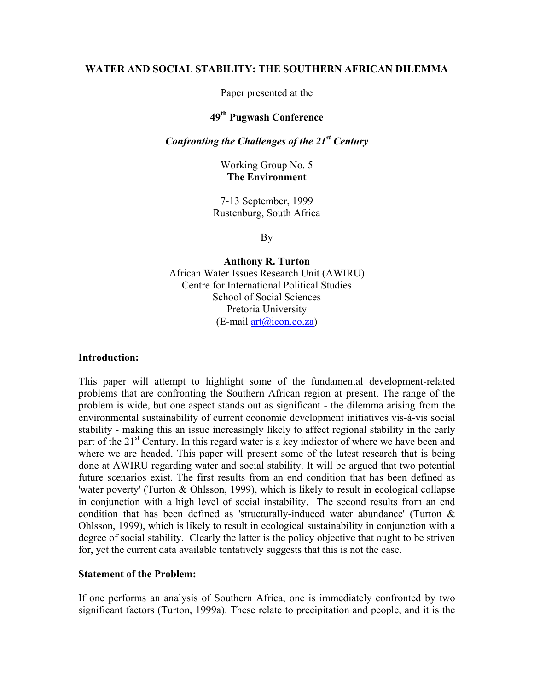### **WATER AND SOCIAL STABILITY: THE SOUTHERN AFRICAN DILEMMA**

Paper presented at the

# **49th Pugwash Conference**

## *Confronting the Challenges of the 21st Century*

Working Group No. 5 **The Environment** 

7-13 September, 1999 Rustenburg, South Africa

By

**Anthony R. Turton**  African Water Issues Research Unit (AWIRU) Centre for International Political Studies School of Social Sciences Pretoria University  $(E-mail art@icon.co.za)$  $(E-mail art@icon.co.za)$  $(E-mail art@icon.co.za)$ 

#### **Introduction:**

This paper will attempt to highlight some of the fundamental development-related problems that are confronting the Southern African region at present. The range of the problem is wide, but one aspect stands out as significant - the dilemma arising from the environmental sustainability of current economic development initiatives vis-à-vis social stability - making this an issue increasingly likely to affect regional stability in the early part of the 21<sup>st</sup> Century. In this regard water is a key indicator of where we have been and where we are headed. This paper will present some of the latest research that is being done at AWIRU regarding water and social stability. It will be argued that two potential future scenarios exist. The first results from an end condition that has been defined as 'water poverty' (Turton & Ohlsson, 1999), which is likely to result in ecological collapse in conjunction with a high level of social instability. The second results from an end condition that has been defined as 'structurally-induced water abundance' (Turton & Ohlsson, 1999), which is likely to result in ecological sustainability in conjunction with a degree of social stability. Clearly the latter is the policy objective that ought to be striven for, yet the current data available tentatively suggests that this is not the case.

#### **Statement of the Problem:**

If one performs an analysis of Southern Africa, one is immediately confronted by two significant factors (Turton, 1999a). These relate to precipitation and people, and it is the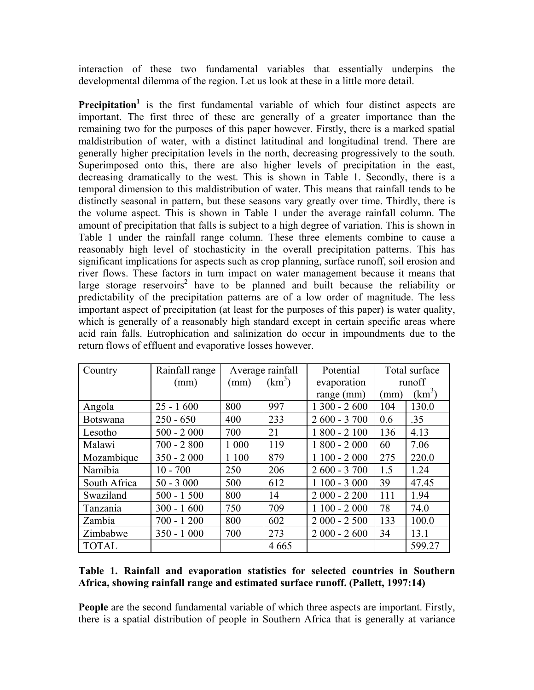interaction of these two fundamental variables that essentially underpins the developmental dilemma of the region. Let us look at these in a little more detail.

Precipitation<sup>[1](#page-13-0)</sup> is the first fundamental variable of which four distinct aspects are important. The first three of these are generally of a greater importance than the remaining two for the purposes of this paper however. Firstly, there is a marked spatial maldistribution of water, with a distinct latitudinal and longitudinal trend. There are generally higher precipitation levels in the north, decreasing progressively to the south. Superimposed onto this, there are also higher levels of precipitation in the east, decreasing dramatically to the west. This is shown in Table 1. Secondly, there is a temporal dimension to this maldistribution of water. This means that rainfall tends to be distinctly seasonal in pattern, but these seasons vary greatly over time. Thirdly, there is the volume aspect. This is shown in Table 1 under the average rainfall column. The amount of precipitation that falls is subject to a high degree of variation. This is shown in Table 1 under the rainfall range column. These three elements combine to cause a reasonably high level of stochasticity in the overall precipitation patterns. This has significant implications for aspects such as crop planning, surface runoff, soil erosion and river flows. These factors in turn impact on water management because it means that large storage reservoirs<sup>[2](#page-13-1)</sup> have to be planned and built because the reliability or predictability of the precipitation patterns are of a low order of magnitude. The less important aspect of precipitation (at least for the purposes of this paper) is water quality, which is generally of a reasonably high standard except in certain specific areas where acid rain falls. Eutrophication and salinization do occur in impoundments due to the return flows of effluent and evaporative losses however.

| Country         | Rainfall range | Average rainfall |          | Potential     |      | Total surface |
|-----------------|----------------|------------------|----------|---------------|------|---------------|
|                 | (mm)           | (mm)             | $(km^3)$ | evaporation   |      | runoff        |
|                 |                |                  |          | range (mm)    | (mm) | $(km^3)$      |
| Angola          | $25 - 1600$    | 800              | 997      | $1300 - 2600$ | 104  | 130.0         |
| <b>Botswana</b> | $250 - 650$    | 400              | 233      | $2600 - 3700$ | 0.6  | .35           |
| Lesotho         | $500 - 2000$   | 700              | 21       | $1800 - 2100$ | 136  | 4.13          |
| Malawi          | $700 - 2800$   | 1 0 0 0          | 119      | $1800 - 2000$ | 60   | 7.06          |
| Mozambique      | $350 - 2000$   | 1 100            | 879      | $1100 - 2000$ | 275  | 220.0         |
| Namibia         | $10 - 700$     | 250              | 206      | $2600 - 3700$ | 1.5  | 1.24          |
| South Africa    | $50 - 3000$    | 500              | 612      | $1100 - 3000$ | 39   | 47.45         |
| Swaziland       | $500 - 1500$   | 800              | 14       | $2000 - 2200$ | 111  | 1.94          |
| Tanzania        | $300 - 1600$   | 750              | 709      | $1100 - 2000$ | 78   | 74.0          |
| Zambia          | $700 - 1200$   | 800              | 602      | $2000 - 2500$ | 133  | 100.0         |
| Zimbabwe        | $350 - 1000$   | 700              | 273      | $2000 - 2600$ | 34   | 13.1          |
| <b>TOTAL</b>    |                |                  | 4 6 6 5  |               |      | 599.27        |

## **Table 1. Rainfall and evaporation statistics for selected countries in Southern Africa, showing rainfall range and estimated surface runoff. (Pallett, 1997:14)**

**People** are the second fundamental variable of which three aspects are important. Firstly, there is a spatial distribution of people in Southern Africa that is generally at variance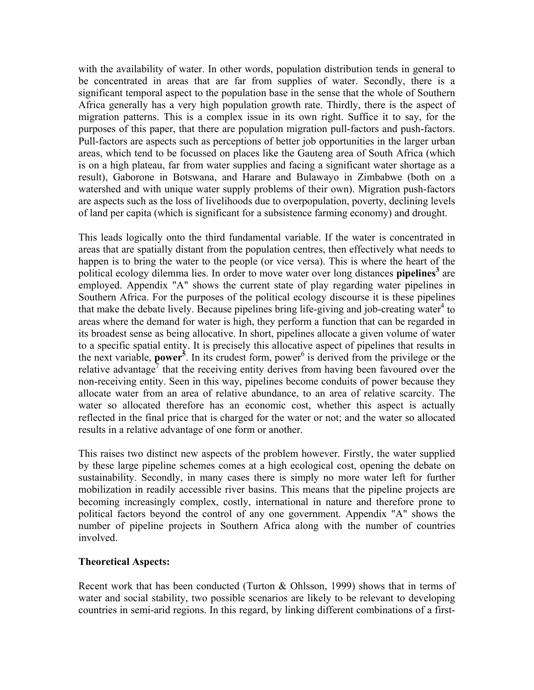with the availability of water. In other words, population distribution tends in general to be concentrated in areas that are far from supplies of water. Secondly, there is a significant temporal aspect to the population base in the sense that the whole of Southern Africa generally has a very high population growth rate. Thirdly, there is the aspect of migration patterns. This is a complex issue in its own right. Suffice it to say, for the purposes of this paper, that there are population migration pull-factors and push-factors. Pull-factors are aspects such as perceptions of better job opportunities in the larger urban areas, which tend to be focussed on places like the Gauteng area of South Africa (which is on a high plateau, far from water supplies and facing a significant water shortage as a result), Gaborone in Botswana, and Harare and Bulawayo in Zimbabwe (both on a watershed and with unique water supply problems of their own). Migration push-factors are aspects such as the loss of livelihoods due to overpopulation, poverty, declining levels of land per capita (which is significant for a subsistence farming economy) and drought.

This leads logically onto the third fundamental variable. If the water is concentrated in areas that are spatially distant from the population centres, then effectively what needs to happen is to bring the water to the people (or vice versa). This is where the heart of the political ecology dilemma lies. In order to move water over long distances **pipelines<sup>3</sup>** are employed. Appendix "A" shows the current state of play regarding water pipelines in Southern Africa. For the purposes of the political ecology discourse it is these pipelines that make the debate lively. Because pipelines bring life-giving and job-creating water<sup>[4](#page-13-3)</sup> to areas where the demand for water is high, they perform a function that can be regarded in its broadest sense as being allocative. In short, pipelines allocate a given volume of water to a specific spatial entity. It is precisely this allocative aspect of pipelines that results in thenext variable, **power<sup>5</sup>**[.](#page-13-4) In its crudest form, power<sup>6</sup> is derived from the privilege or the relative advantage<sup>[7](#page-13-6)</sup> that the receiving entity derives from having been favoured over the non-receiving entity. Seen in this way, pipelines become conduits of power because they allocate water from an area of relative abundance, to an area of relative scarcity. The water so allocated therefore has an economic cost, whether this aspect is actually reflected in the final price that is charged for the water or not; and the water so allocated results in a relative advantage of one form or another.

This raises two distinct new aspects of the problem however. Firstly, the water supplied by these large pipeline schemes comes at a high ecological cost, opening the debate on sustainability. Secondly, in many cases there is simply no more water left for further mobilization in readily accessible river basins. This means that the pipeline projects are becoming increasingly complex, costly, international in nature and therefore prone to political factors beyond the control of any one government. Appendix "A" shows the number of pipeline projects in Southern Africa along with the number of countries involved.

### **Theoretical Aspects:**

Recent work that has been conducted (Turton & Ohlsson, 1999) shows that in terms of water and social stability, two possible scenarios are likely to be relevant to developing countries in semi-arid regions. In this regard, by linking different combinations of a first-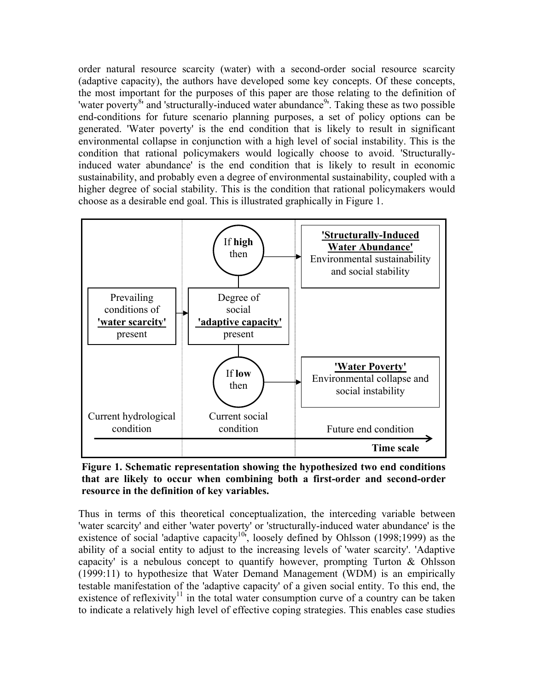order natural resource scarcity (water) with a second-order social resource scarcity (adaptive capacity), the authors have developed some key concepts. Of these concepts, the most important for the purposes of this paper are those relating to the definition of 'water poverty<sup>8</sup>' and 'structurally-induced water abundance<sup>[9](#page-13-8)</sup>'. Taking these as two possible end-conditions for future scenario planning purposes, a set of policy options can be generated. 'Water poverty' is the end condition that is likely to result in significant environmental collapse in conjunction with a high level of social instability. This is the condition that rational policymakers would logically choose to avoid. 'Structurallyinduced water abundance' is the end condition that is likely to result in economic sustainability, and probably even a degree of environmental sustainability, coupled with a higher degree of social stability. This is the condition that rational policymakers would choose as a desirable end goal. This is illustrated graphically in Figure 1.



### **Figure 1. Schematic representation showing the hypothesized two end conditions that are likely to occur when combining both a first-order and second-order resource in the definition of key variables.**

Thus in terms of this theoretical conceptualization, the interceding variable between 'water scarcity' and either 'water poverty' or 'structurally-induced water abundance' is the existence of social 'adaptive capacity<sup>10'</sup>, loosely defined by Ohlsson (1998;1999) as the ability of a social entity to adjust to the increasing levels of 'water scarcity'. 'Adaptive capacity' is a nebulous concept to quantify however, prompting Turton & Ohlsson (1999:11) to hypothesize that Water Demand Management (WDM) is an empirically testable manifestation of the 'adaptive capacity' of a given social entity. To this end, the existence of reflexivity<sup>11</sup> in the total water consumption curve of a country can be taken to indicate a relatively high level of effective coping strategies. This enables case studies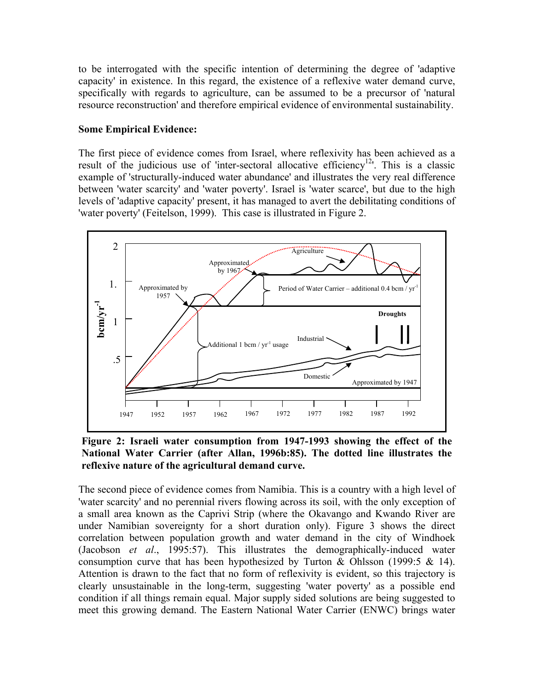to be interrogated with the specific intention of determining the degree of 'adaptive capacity' in existence. In this regard, the existence of a reflexive water demand curve, specifically with regards to agriculture, can be assumed to be a precursor of 'natural resource reconstruction' and therefore empirical evidence of environmental sustainability.

### **Some Empirical Evidence:**

The first piece of evidence comes from Israel, where reflexivity has been achieved as a result of the judicious use of 'inter-sectoral allocative efficiency<sup>12</sup>'. This is a classic example of 'structurally-induced water abundance' and illustrates the very real difference between 'water scarcity' and 'water poverty'. Israel is 'water scarce', but due to the high levels of 'adaptive capacity' present, it has managed to avert the debilitating conditions of 'water poverty' (Feitelson, 1999). This case is illustrated in Figure 2.



**Figure 2: Israeli water consumption from 1947-1993 showing the effect of the National Water Carrier (after Allan, 1996b:85). The dotted line illustrates the reflexive nature of the agricultural demand curve.** 

The second piece of evidence comes from Namibia. This is a country with a high level of 'water scarcity' and no perennial rivers flowing across its soil, with the only exception of a small area known as the Caprivi Strip (where the Okavango and Kwando River are under Namibian sovereignty for a short duration only). Figure 3 shows the direct correlation between population growth and water demand in the city of Windhoek (Jacobson *et al*., 1995:57). This illustrates the demographically-induced water consumption curve that has been hypothesized by Turton & Ohlsson (1999:5 & 14). Attention is drawn to the fact that no form of reflexivity is evident, so this trajectory is clearly unsustainable in the long-term, suggesting 'water poverty' as a possible end condition if all things remain equal. Major supply sided solutions are being suggested to meet this growing demand. The Eastern National Water Carrier (ENWC) brings water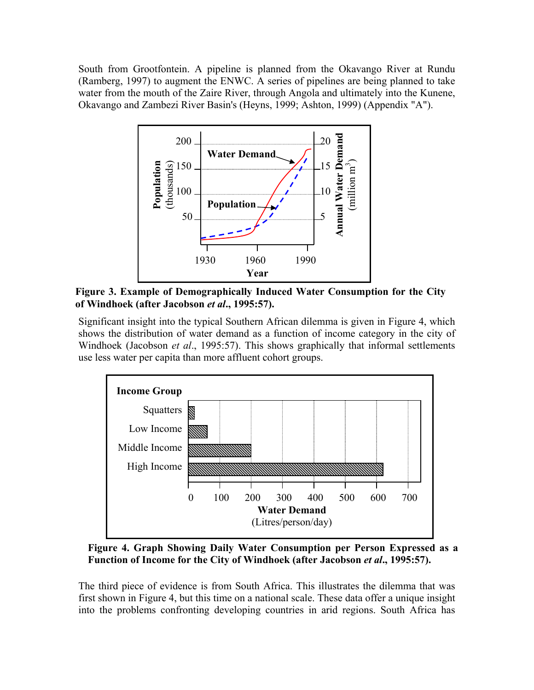South from Grootfontein. A pipeline is planned from the Okavango River at Rundu (Ramberg, 1997) to augment the ENWC. A series of pipelines are being planned to take water from the mouth of the Zaire River, through Angola and ultimately into the Kunene, Okavango and Zambezi River Basin's (Heyns, 1999; Ashton, 1999) (Appendix "A").



**Figure 3. Example of Demographically Induced Water Consumption for the City of Windhoek (after Jacobson** *et al***., 1995:57).** 

Significant insight into the typical Southern African dilemma is given in Figure 4, which shows the distribution of water demand as a function of income category in the city of Windhoek (Jacobson *et al*., 1995:57). This shows graphically that informal settlements use less water per capita than more affluent cohort groups.



**Figure 4. Graph Showing Daily Water Consumption per Person Expressed as a Function of Income for the City of Windhoek (after Jacobson** *et al***., 1995:57).** 

The third piece of evidence is from South Africa. This illustrates the dilemma that was first shown in Figure 4, but this time on a national scale. These data offer a unique insight into the problems confronting developing countries in arid regions. South Africa has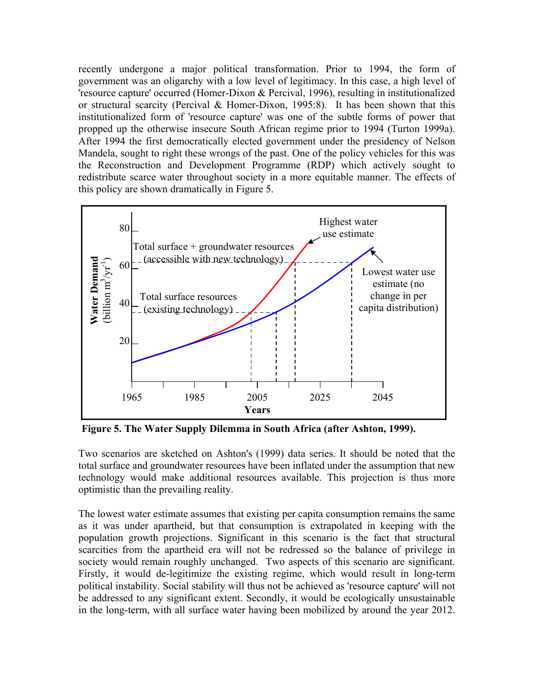recently undergone a major political transformation. Prior to 1994, the form of government was an oligarchy with a low level of legitimacy. In this case, a high level of 'resource capture' occurred (Homer-Dixon & Percival, 1996), resulting in institutionalized or structural scarcity (Percival & Homer-Dixon, 1995:8). It has been shown that this institutionalized form of 'resource capture' was one of the subtle forms of power that propped up the otherwise insecure South African regime prior to 1994 (Turton 1999a). After 1994 the first democratically elected government under the presidency of Nelson Mandela, sought to right these wrongs of the past. One of the policy vehicles for this was the Reconstruction and Development Programme (RDP) which actively sought to redistribute scarce water throughout society in a more equitable manner. The effects of this policy are shown dramatically in Figure 5.



**Figure 5. The Water Supply Dilemma in South Africa (after Ashton, 1999).** 

Two scenarios are sketched on Ashton's (1999) data series. It should be noted that the total surface and groundwater resources have been inflated under the assumption that new technology would make additional resources available. This projection is thus more optimistic than the prevailing reality.

The lowest water estimate assumes that existing per capita consumption remains the same as it was under apartheid, but that consumption is extrapolated in keeping with the population growth projections. Significant in this scenario is the fact that structural scarcities from the apartheid era will not be redressed so the balance of privilege in society would remain roughly unchanged. Two aspects of this scenario are significant. Firstly, it would de-legitimize the existing regime, which would result in long-term political instability. Social stability will thus not be achieved as 'resource capture' will not be addressed to any significant extent. Secondly, it would be ecologically unsustainable in the long-term, with all surface water having been mobilized by around the year 2012.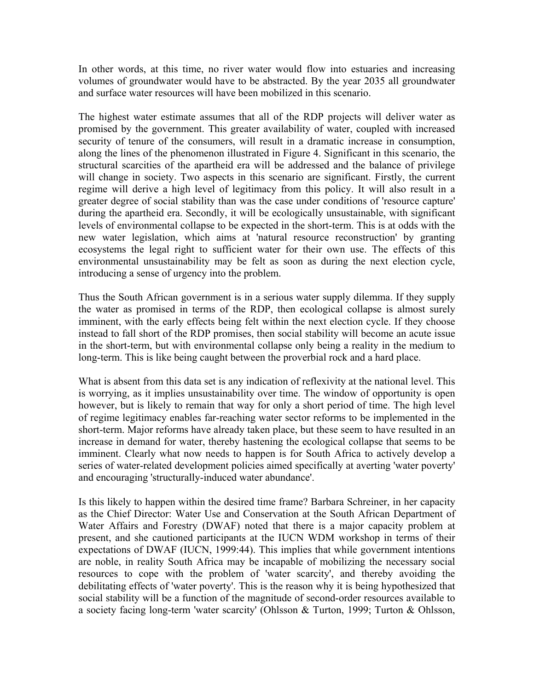In other words, at this time, no river water would flow into estuaries and increasing volumes of groundwater would have to be abstracted. By the year 2035 all groundwater and surface water resources will have been mobilized in this scenario.

The highest water estimate assumes that all of the RDP projects will deliver water as promised by the government. This greater availability of water, coupled with increased security of tenure of the consumers, will result in a dramatic increase in consumption, along the lines of the phenomenon illustrated in Figure 4. Significant in this scenario, the structural scarcities of the apartheid era will be addressed and the balance of privilege will change in society. Two aspects in this scenario are significant. Firstly, the current regime will derive a high level of legitimacy from this policy. It will also result in a greater degree of social stability than was the case under conditions of 'resource capture' during the apartheid era. Secondly, it will be ecologically unsustainable, with significant levels of environmental collapse to be expected in the short-term. This is at odds with the new water legislation, which aims at 'natural resource reconstruction' by granting ecosystems the legal right to sufficient water for their own use. The effects of this environmental unsustainability may be felt as soon as during the next election cycle, introducing a sense of urgency into the problem.

Thus the South African government is in a serious water supply dilemma. If they supply the water as promised in terms of the RDP, then ecological collapse is almost surely imminent, with the early effects being felt within the next election cycle. If they choose instead to fall short of the RDP promises, then social stability will become an acute issue in the short-term, but with environmental collapse only being a reality in the medium to long-term. This is like being caught between the proverbial rock and a hard place.

What is absent from this data set is any indication of reflexivity at the national level. This is worrying, as it implies unsustainability over time. The window of opportunity is open however, but is likely to remain that way for only a short period of time. The high level of regime legitimacy enables far-reaching water sector reforms to be implemented in the short-term. Major reforms have already taken place, but these seem to have resulted in an increase in demand for water, thereby hastening the ecological collapse that seems to be imminent. Clearly what now needs to happen is for South Africa to actively develop a series of water-related development policies aimed specifically at averting 'water poverty' and encouraging 'structurally-induced water abundance'.

Is this likely to happen within the desired time frame? Barbara Schreiner, in her capacity as the Chief Director: Water Use and Conservation at the South African Department of Water Affairs and Forestry (DWAF) noted that there is a major capacity problem at present, and she cautioned participants at the IUCN WDM workshop in terms of their expectations of DWAF (IUCN, 1999:44). This implies that while government intentions are noble, in reality South Africa may be incapable of mobilizing the necessary social resources to cope with the problem of 'water scarcity', and thereby avoiding the debilitating effects of 'water poverty'. This is the reason why it is being hypothesized that social stability will be a function of the magnitude of second-order resources available to a society facing long-term 'water scarcity' (Ohlsson & Turton, 1999; Turton & Ohlsson,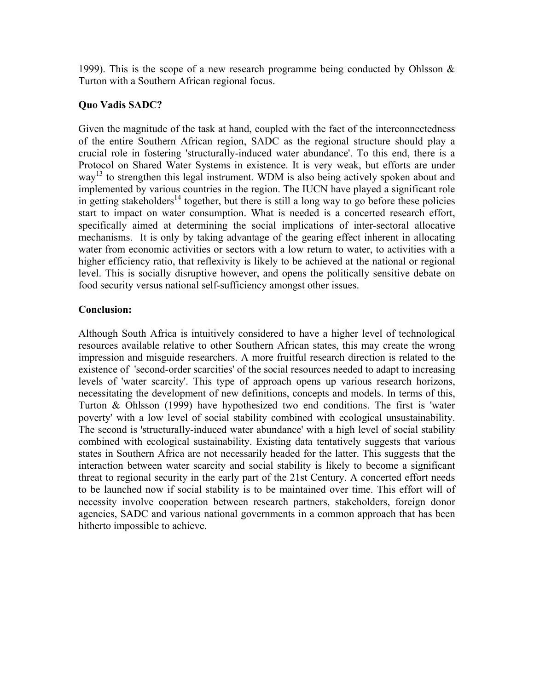1999). This is the scope of a new research programme being conducted by Ohlsson & Turton with a Southern African regional focus.

## **Quo Vadis SADC?**

Given the magnitude of the task at hand, coupled with the fact of the interconnectedness of the entire Southern African region, SADC as the regional structure should play a crucial role in fostering 'structurally-induced water abundance'. To this end, there is a Protocol on Shared Water Systems in existence. It is very weak, but efforts are under  $way<sup>13</sup>$  to strengthen this legal instrument. WDM is also being actively spoken about and implemented by various countries in the region. The IUCN have played a significant role in getting stakeholders<sup>14</sup> together, but there is still a long way to go before these policies start to impact on water consumption. What is needed is a concerted research effort, specifically aimed at determining the social implications of inter-sectoral allocative mechanisms. It is only by taking advantage of the gearing effect inherent in allocating water from economic activities or sectors with a low return to water, to activities with a higher efficiency ratio, that reflexivity is likely to be achieved at the national or regional level. This is socially disruptive however, and opens the politically sensitive debate on food security versus national self-sufficiency amongst other issues.

## **Conclusion:**

Although South Africa is intuitively considered to have a higher level of technological resources available relative to other Southern African states, this may create the wrong impression and misguide researchers. A more fruitful research direction is related to the existence of 'second-order scarcities' of the social resources needed to adapt to increasing levels of 'water scarcity'. This type of approach opens up various research horizons, necessitating the development of new definitions, concepts and models. In terms of this, Turton & Ohlsson (1999) have hypothesized two end conditions. The first is 'water poverty' with a low level of social stability combined with ecological unsustainability. The second is 'structurally-induced water abundance' with a high level of social stability combined with ecological sustainability. Existing data tentatively suggests that various states in Southern Africa are not necessarily headed for the latter. This suggests that the interaction between water scarcity and social stability is likely to become a significant threat to regional security in the early part of the 21st Century. A concerted effort needs to be launched now if social stability is to be maintained over time. This effort will of necessity involve cooperation between research partners, stakeholders, foreign donor agencies, SADC and various national governments in a common approach that has been hitherto impossible to achieve.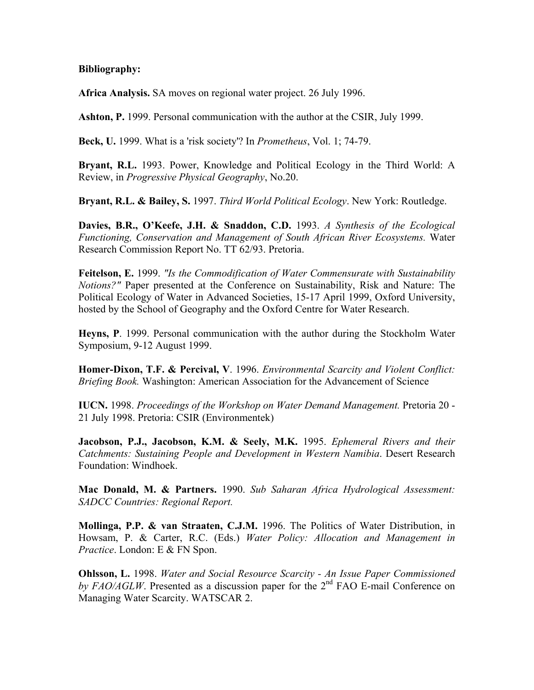### **Bibliography:**

**Africa Analysis.** SA moves on regional water project. 26 July 1996.

**Ashton, P.** 1999. Personal communication with the author at the CSIR, July 1999.

**Beck, U.** 1999. What is a 'risk society'? In *Prometheus*, Vol. 1; 74-79.

**Bryant, R.L.** 1993. Power, Knowledge and Political Ecology in the Third World: A Review, in *Progressive Physical Geography*, No.20.

**Bryant, R.L. & Bailey, S.** 1997. *Third World Political Ecology*. New York: Routledge.

**Davies, B.R., O'Keefe, J.H. & Snaddon, C.D.** 1993. *A Synthesis of the Ecological Functioning, Conservation and Management of South African River Ecosystems.* Water Research Commission Report No. TT 62/93. Pretoria.

**Feitelson, E.** 1999. *"Is the Commodification of Water Commensurate with Sustainability Notions?"* Paper presented at the Conference on Sustainability, Risk and Nature: The Political Ecology of Water in Advanced Societies, 15-17 April 1999, Oxford University, hosted by the School of Geography and the Oxford Centre for Water Research.

**Heyns, P**. 1999. Personal communication with the author during the Stockholm Water Symposium, 9-12 August 1999.

**Homer-Dixon, T.F. & Percival, V**. 1996. *Environmental Scarcity and Violent Conflict: Briefing Book.* Washington: American Association for the Advancement of Science

**IUCN.** 1998. *Proceedings of the Workshop on Water Demand Management.* Pretoria 20 - 21 July 1998. Pretoria: CSIR (Environmentek)

**Jacobson, P.J., Jacobson, K.M. & Seely, M.K.** 1995. *Ephemeral Rivers and their Catchments: Sustaining People and Development in Western Namibia*. Desert Research Foundation: Windhoek.

**Mac Donald, M. & Partners.** 1990. *Sub Saharan Africa Hydrological Assessment: SADCC Countries: Regional Report.*

**Mollinga, P.P. & van Straaten, C.J.M.** 1996. The Politics of Water Distribution, in Howsam, P. & Carter, R.C. (Eds.) *Water Policy: Allocation and Management in Practice*. London: E & FN Spon.

**Ohlsson, L.** 1998. *Water and Social Resource Scarcity - An Issue Paper Commissioned*  by FAO/AGLW. Presented as a discussion paper for the 2<sup>nd</sup> FAO E-mail Conference on Managing Water Scarcity. WATSCAR 2.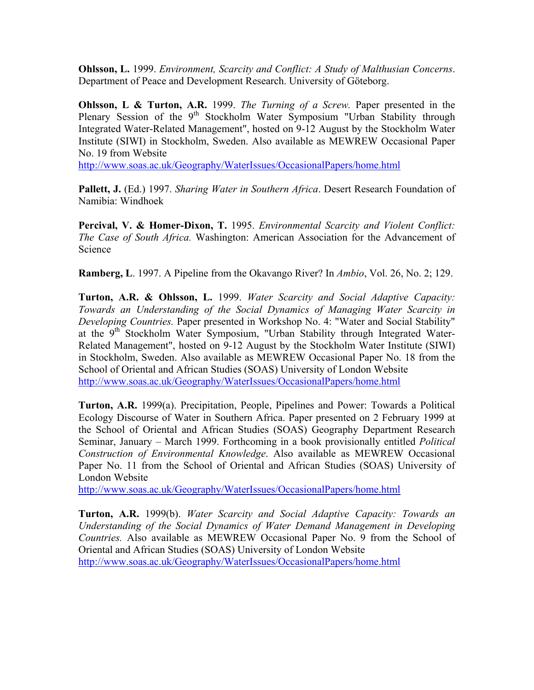**Ohlsson, L.** 1999. *Environment, Scarcity and Conflict: A Study of Malthusian Concerns*. Department of Peace and Development Research. University of Göteborg.

**Ohlsson, L & Turton, A.R.** 1999. *The Turning of a Screw.* Paper presented in the Plenary Session of the  $9<sup>th</sup>$  Stockholm Water Symposium "Urban Stability through Integrated Water-Related Management", hosted on 9-12 August by the Stockholm Water Institute (SIWI) in Stockholm, Sweden. Also available as MEWREW Occasional Paper No. 19 from Website

<http://www.soas.ac.uk/Geography/WaterIssues/OccasionalPapers/home.html>

**Pallett, J.** (Ed.) 1997. *Sharing Water in Southern Africa*. Desert Research Foundation of Namibia: Windhoek

**Percival, V. & Homer-Dixon, T.** 1995. *Environmental Scarcity and Violent Conflict: The Case of South Africa.* Washington: American Association for the Advancement of Science

**Ramberg, L**. 1997. A Pipeline from the Okavango River? In *Ambio*, Vol. 26, No. 2; 129.

**Turton, A.R. & Ohlsson, L.** 1999. *Water Scarcity and Social Adaptive Capacity: Towards an Understanding of the Social Dynamics of Managing Water Scarcity in Developing Countries.* Paper presented in Workshop No. 4: "Water and Social Stability" at the  $9<sup>th</sup>$  Stockholm Water Symposium, "Urban Stability through Integrated Water-Related Management", hosted on 9-12 August by the Stockholm Water Institute (SIWI) in Stockholm, Sweden. Also available as MEWREW Occasional Paper No. 18 from the School of Oriental and African Studies (SOAS) University of London Website <http://www.soas.ac.uk/Geography/WaterIssues/OccasionalPapers/home.html>

**Turton, A.R.** 1999(a). Precipitation, People, Pipelines and Power: Towards a Political Ecology Discourse of Water in Southern Africa. Paper presented on 2 February 1999 at the School of Oriental and African Studies (SOAS) Geography Department Research Seminar, January – March 1999. Forthcoming in a book provisionally entitled *Political Construction of Environmental Knowledge*. Also available as MEWREW Occasional Paper No. 11 from the School of Oriental and African Studies (SOAS) University of London Website

<http://www.soas.ac.uk/Geography/WaterIssues/OccasionalPapers/home.html>

**Turton, A.R.** 1999(b). *Water Scarcity and Social Adaptive Capacity: Towards an Understanding of the Social Dynamics of Water Demand Management in Developing Countries.* Also available as MEWREW Occasional Paper No. 9 from the School of Oriental and African Studies (SOAS) University of London Website <http://www.soas.ac.uk/Geography/WaterIssues/OccasionalPapers/home.html>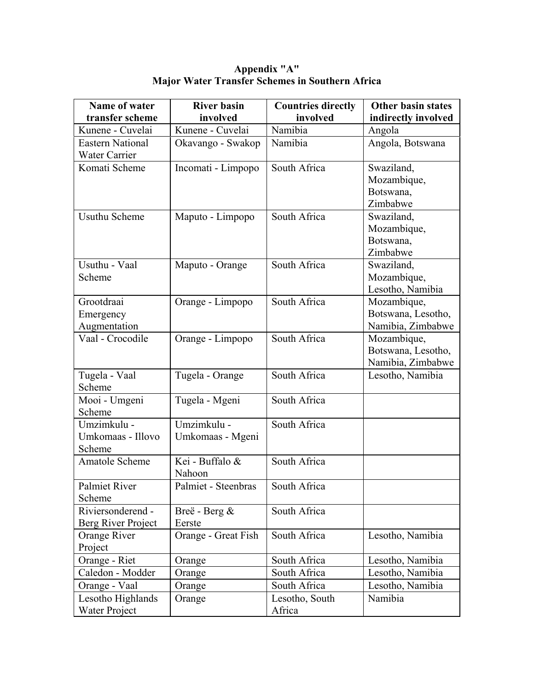**Appendix "A" Major Water Transfer Schemes in Southern Africa** 

| Name of water                              | <b>River basin</b>              | <b>Countries directly</b> | <b>Other basin states</b>                              |  |
|--------------------------------------------|---------------------------------|---------------------------|--------------------------------------------------------|--|
| transfer scheme                            | involved                        | involved                  | indirectly involved                                    |  |
| Kunene - Cuvelai                           | Kunene - Cuvelai                | Namibia                   | Angola                                                 |  |
| <b>Eastern National</b><br>Water Carrier   | Okavango - Swakop               | Namibia                   | Angola, Botswana                                       |  |
| Komati Scheme                              | Incomati - Limpopo              | South Africa              | Swaziland,<br>Mozambique,<br>Botswana,<br>Zimbabwe     |  |
| <b>Usuthu Scheme</b>                       | Maputo - Limpopo                | South Africa              | Swaziland,<br>Mozambique,<br>Botswana,<br>Zimbabwe     |  |
| Usuthu - Vaal<br>Scheme                    | Maputo - Orange                 | South Africa              | Swaziland,<br>Mozambique,<br>Lesotho, Namibia          |  |
| Grootdraai<br>Emergency<br>Augmentation    | Orange - Limpopo                | South Africa              | Mozambique,<br>Botswana, Lesotho,<br>Namibia, Zimbabwe |  |
| Vaal - Crocodile                           | Orange - Limpopo                | South Africa              | Mozambique,<br>Botswana, Lesotho,<br>Namibia, Zimbabwe |  |
| Tugela - Vaal<br>Scheme                    | Tugela - Orange                 | South Africa              | Lesotho, Namibia                                       |  |
| Mooi - Umgeni<br>Scheme                    | Tugela - Mgeni                  | South Africa              |                                                        |  |
| Umzimkulu -<br>Umkomaas - Illovo<br>Scheme | Umzimkulu -<br>Umkomaas - Mgeni | South Africa              |                                                        |  |
| Amatole Scheme                             | Kei - Buffalo &<br>Nahoon       | South Africa              |                                                        |  |
| Palmiet River<br>Scheme                    | Palmiet - Steenbras             | South Africa              |                                                        |  |
| Riviersonderend -<br>Berg River Project    | Breë - Berg $\&$<br>Eerste      | South Africa              |                                                        |  |
| Orange River<br>Project                    | Orange - Great Fish             | South Africa              | Lesotho, Namibia                                       |  |
| Orange - Riet                              | Orange                          | South Africa              | Lesotho, Namibia                                       |  |
| Caledon - Modder                           | Orange                          | South Africa              | Lesotho, Namibia                                       |  |
| Orange - Vaal                              | Orange                          | South Africa              | Lesotho, Namibia                                       |  |
| Lesotho Highlands<br>Water Project         | Orange                          | Lesotho, South<br>Africa  | Namibia                                                |  |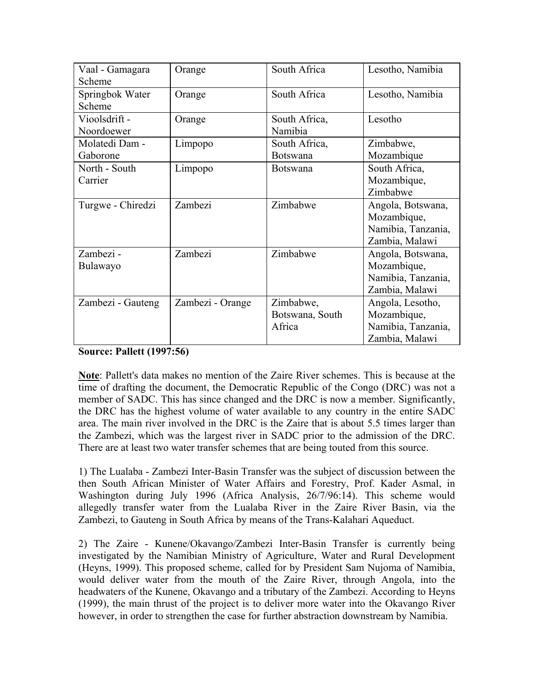| Vaal - Gamagara   | Orange           | South Africa    | Lesotho, Namibia   |
|-------------------|------------------|-----------------|--------------------|
| Scheme            |                  |                 |                    |
| Springbok Water   | Orange           | South Africa    | Lesotho, Namibia   |
| Scheme            |                  |                 |                    |
| Vioolsdrift -     | Orange           | South Africa,   | Lesotho            |
| Noordoewer        |                  | Namibia         |                    |
| Molatedi Dam -    | Limpopo          | South Africa,   | Zimbabwe,          |
| Gaborone          |                  | <b>Botswana</b> | Mozambique         |
| North - South     | Limpopo          | <b>Botswana</b> | South Africa,      |
| Carrier           |                  |                 | Mozambique,        |
|                   |                  |                 | Zimbabwe           |
| Turgwe - Chiredzi | Zambezi          | Zimbabwe        | Angola, Botswana,  |
|                   |                  |                 | Mozambique,        |
|                   |                  |                 | Namibia, Tanzania, |
|                   |                  |                 | Zambia, Malawi     |
| Zambezi -         | Zambezi          | Zimbabwe        | Angola, Botswana,  |
| Bulawayo          |                  |                 | Mozambique,        |
|                   |                  |                 | Namibia, Tanzania, |
|                   |                  |                 | Zambia, Malawi     |
| Zambezi - Gauteng | Zambezi - Orange | Zimbabwe,       | Angola, Lesotho,   |
|                   |                  | Botswana, South | Mozambique,        |
|                   |                  | Africa          | Namibia, Tanzania, |
|                   |                  |                 | Zambia, Malawi     |

**Source: Pallett (1997:56)** 

**Note**: Pallett's data makes no mention of the Zaire River schemes. This is because at the time of drafting the document, the Democratic Republic of the Congo (DRC) was not a member of SADC. This has since changed and the DRC is now a member. Significantly, the DRC has the highest volume of water available to any country in the entire SADC area. The main river involved in the DRC is the Zaire that is about 5.5 times larger than the Zambezi, which was the largest river in SADC prior to the admission of the DRC. There are at least two water transfer schemes that are being touted from this source.

1) The Lualaba - Zambezi Inter-Basin Transfer was the subject of discussion between the then South African Minister of Water Affairs and Forestry, Prof. Kader Asmal, in Washington during July 1996 (Africa Analysis, 26/7/96:14). This scheme would allegedly transfer water from the Lualaba River in the Zaire River Basin, via the Zambezi, to Gauteng in South Africa by means of the Trans-Kalahari Aqueduct.

2) The Zaire - Kunene/Okavango/Zambezi Inter-Basin Transfer is currently being investigated by the Namibian Ministry of Agriculture, Water and Rural Development (Heyns, 1999). This proposed scheme, called for by President Sam Nujoma of Namibia, would deliver water from the mouth of the Zaire River, through Angola, into the headwaters of the Kunene, Okavango and a tributary of the Zambezi. According to Heyns (1999), the main thrust of the project is to deliver more water into the Okavango River however, in order to strengthen the case for further abstraction downstream by Namibia.